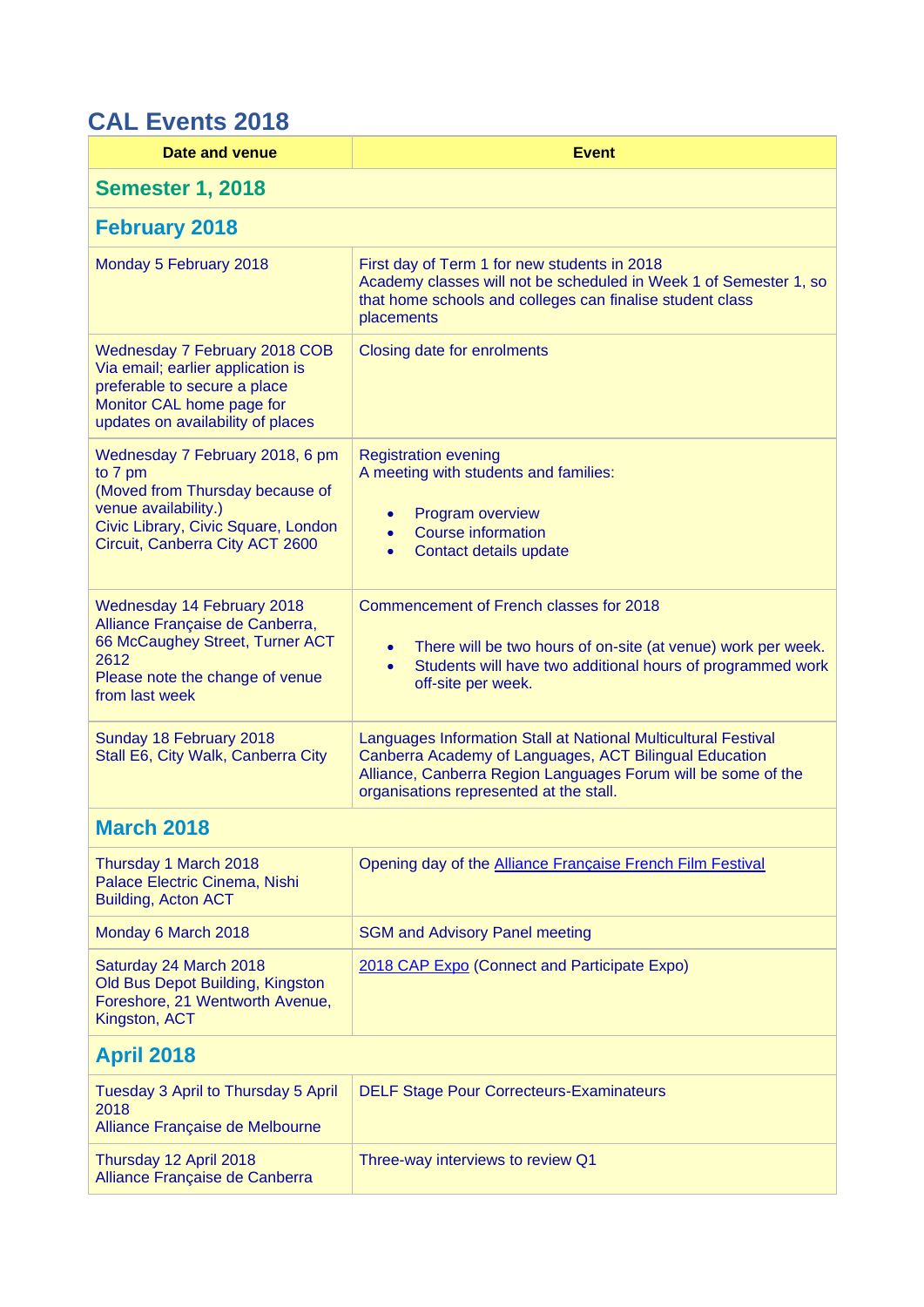## **CAL Events 2018**

| Date and venue                                                                                                                                                                  | <b>Event</b>                                                                                                                                                                                                                         |  |
|---------------------------------------------------------------------------------------------------------------------------------------------------------------------------------|--------------------------------------------------------------------------------------------------------------------------------------------------------------------------------------------------------------------------------------|--|
| <b>Semester 1, 2018</b>                                                                                                                                                         |                                                                                                                                                                                                                                      |  |
| <b>February 2018</b>                                                                                                                                                            |                                                                                                                                                                                                                                      |  |
| Monday 5 February 2018                                                                                                                                                          | First day of Term 1 for new students in 2018<br>Academy classes will not be scheduled in Week 1 of Semester 1, so<br>that home schools and colleges can finalise student class<br>placements                                         |  |
| <b>Wednesday 7 February 2018 COB</b><br>Via email; earlier application is<br>preferable to secure a place<br>Monitor CAL home page for<br>updates on availability of places     | Closing date for enrolments                                                                                                                                                                                                          |  |
| Wednesday 7 February 2018, 6 pm<br>to 7 pm<br>(Moved from Thursday because of<br>venue availability.)<br>Civic Library, Civic Square, London<br>Circuit, Canberra City ACT 2600 | <b>Registration evening</b><br>A meeting with students and families:<br>Program overview<br><b>Course information</b><br>$\bullet$<br>Contact details update                                                                         |  |
| <b>Wednesday 14 February 2018</b><br>Alliance Française de Canberra,<br>66 McCaughey Street, Turner ACT<br>2612<br>Please note the change of venue<br>from last week            | Commencement of French classes for 2018<br>There will be two hours of on-site (at venue) work per week.<br>$\bullet$<br>Students will have two additional hours of programmed work<br>$\bullet$<br>off-site per week.                |  |
| Sunday 18 February 2018<br>Stall E6, City Walk, Canberra City                                                                                                                   | Languages Information Stall at National Multicultural Festival<br>Canberra Academy of Languages, ACT Bilingual Education<br>Alliance, Canberra Region Languages Forum will be some of the<br>organisations represented at the stall. |  |
| <b>March 2018</b>                                                                                                                                                               |                                                                                                                                                                                                                                      |  |
| Thursday 1 March 2018<br>Palace Electric Cinema, Nishi<br><b>Building, Acton ACT</b>                                                                                            | Opening day of the Alliance Française French Film Festival                                                                                                                                                                           |  |
| Monday 6 March 2018                                                                                                                                                             | <b>SGM and Advisory Panel meeting</b>                                                                                                                                                                                                |  |
| Saturday 24 March 2018<br>Old Bus Depot Building, Kingston<br>Foreshore, 21 Wentworth Avenue,<br>Kingston, ACT                                                                  | 2018 CAP Expo (Connect and Participate Expo)                                                                                                                                                                                         |  |
| <b>April 2018</b>                                                                                                                                                               |                                                                                                                                                                                                                                      |  |
| Tuesday 3 April to Thursday 5 April<br>2018<br>Alliance Française de Melbourne                                                                                                  | <b>DELF Stage Pour Correcteurs-Examinateurs</b>                                                                                                                                                                                      |  |
| Thursday 12 April 2018<br>Alliance Française de Canberra                                                                                                                        | Three-way interviews to review Q1                                                                                                                                                                                                    |  |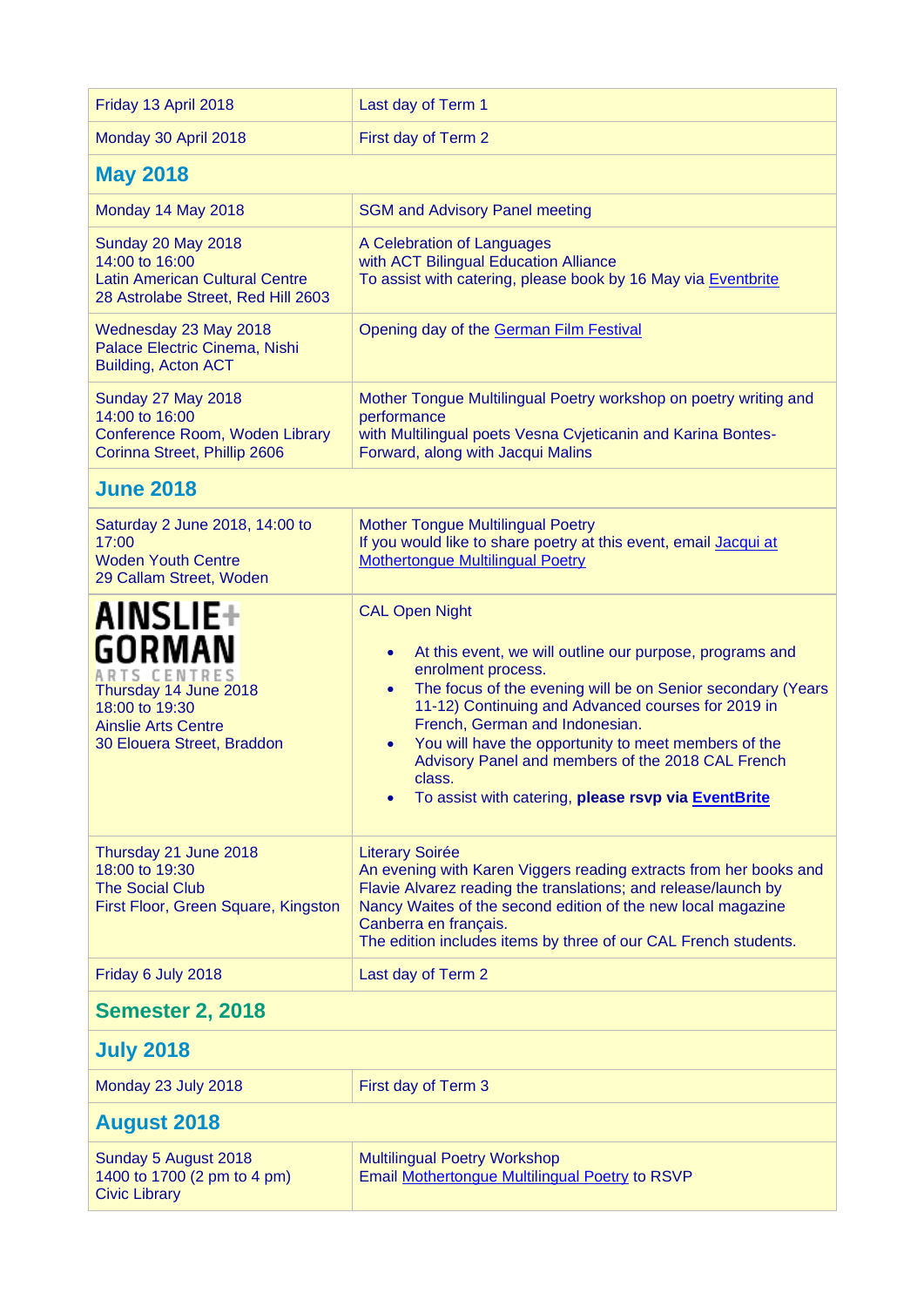| Friday 13 April 2018                                                                                                                                    | Last day of Term 1                                                                                                                                                                                                                                                                                                                                                                                                                                                                               |  |
|---------------------------------------------------------------------------------------------------------------------------------------------------------|--------------------------------------------------------------------------------------------------------------------------------------------------------------------------------------------------------------------------------------------------------------------------------------------------------------------------------------------------------------------------------------------------------------------------------------------------------------------------------------------------|--|
| Monday 30 April 2018                                                                                                                                    | First day of Term 2                                                                                                                                                                                                                                                                                                                                                                                                                                                                              |  |
| <b>May 2018</b>                                                                                                                                         |                                                                                                                                                                                                                                                                                                                                                                                                                                                                                                  |  |
| Monday 14 May 2018                                                                                                                                      | <b>SGM and Advisory Panel meeting</b>                                                                                                                                                                                                                                                                                                                                                                                                                                                            |  |
| <b>Sunday 20 May 2018</b><br>14:00 to 16:00<br><b>Latin American Cultural Centre</b><br>28 Astrolabe Street, Red Hill 2603                              | A Celebration of Languages<br>with ACT Bilingual Education Alliance<br>To assist with catering, please book by 16 May via Eventbrite                                                                                                                                                                                                                                                                                                                                                             |  |
| Wednesday 23 May 2018<br>Palace Electric Cinema, Nishi<br>Building, Acton ACT                                                                           | Opening day of the German Film Festival                                                                                                                                                                                                                                                                                                                                                                                                                                                          |  |
| Sunday 27 May 2018<br>14:00 to 16:00<br>Conference Room, Woden Library<br>Corinna Street, Phillip 2606                                                  | Mother Tongue Multilingual Poetry workshop on poetry writing and<br>performance<br>with Multilingual poets Vesna Cvjeticanin and Karina Bontes-<br>Forward, along with Jacqui Malins                                                                                                                                                                                                                                                                                                             |  |
| <b>June 2018</b>                                                                                                                                        |                                                                                                                                                                                                                                                                                                                                                                                                                                                                                                  |  |
| Saturday 2 June 2018, 14:00 to<br>17:00<br><b>Woden Youth Centre</b><br>29 Callam Street, Woden                                                         | <b>Mother Tongue Multilingual Poetry</b><br>If you would like to share poetry at this event, email Jacqui at<br><b>Mothertongue Multilingual Poetry</b>                                                                                                                                                                                                                                                                                                                                          |  |
| <b>AINSLIE+</b><br><b>GORMAN</b><br>ARTS CENTRES<br>Thursday 14 June 2018<br>18:00 to 19:30<br><b>Ainslie Arts Centre</b><br>30 Elouera Street, Braddon | <b>CAL Open Night</b><br>At this event, we will outline our purpose, programs and<br>$\bullet$<br>enrolment process.<br>The focus of the evening will be on Senior secondary (Years<br>$\bullet$<br>11-12) Continuing and Advanced courses for 2019 in<br>French, German and Indonesian.<br>You will have the opportunity to meet members of the<br>$\bullet$<br>Advisory Panel and members of the 2018 CAL French<br>class.<br>To assist with catering, please rsvp via EventBrite<br>$\bullet$ |  |
| Thursday 21 June 2018<br>18:00 to 19:30<br><b>The Social Club</b><br>First Floor, Green Square, Kingston                                                | <b>Literary Soirée</b><br>An evening with Karen Viggers reading extracts from her books and<br>Flavie Alvarez reading the translations; and release/launch by<br>Nancy Waites of the second edition of the new local magazine<br>Canberra en français.<br>The edition includes items by three of our CAL French students.                                                                                                                                                                        |  |
| Friday 6 July 2018                                                                                                                                      | Last day of Term 2                                                                                                                                                                                                                                                                                                                                                                                                                                                                               |  |
| <b>Semester 2, 2018</b>                                                                                                                                 |                                                                                                                                                                                                                                                                                                                                                                                                                                                                                                  |  |
| <b>July 2018</b>                                                                                                                                        |                                                                                                                                                                                                                                                                                                                                                                                                                                                                                                  |  |
| Monday 23 July 2018                                                                                                                                     | First day of Term 3                                                                                                                                                                                                                                                                                                                                                                                                                                                                              |  |
| <b>August 2018</b>                                                                                                                                      |                                                                                                                                                                                                                                                                                                                                                                                                                                                                                                  |  |
| Sunday 5 August 2018<br>1400 to 1700 (2 pm to 4 pm)<br><b>Civic Library</b>                                                                             | <b>Multilingual Poetry Workshop</b><br>Email Mothertongue Multilingual Poetry to RSVP                                                                                                                                                                                                                                                                                                                                                                                                            |  |